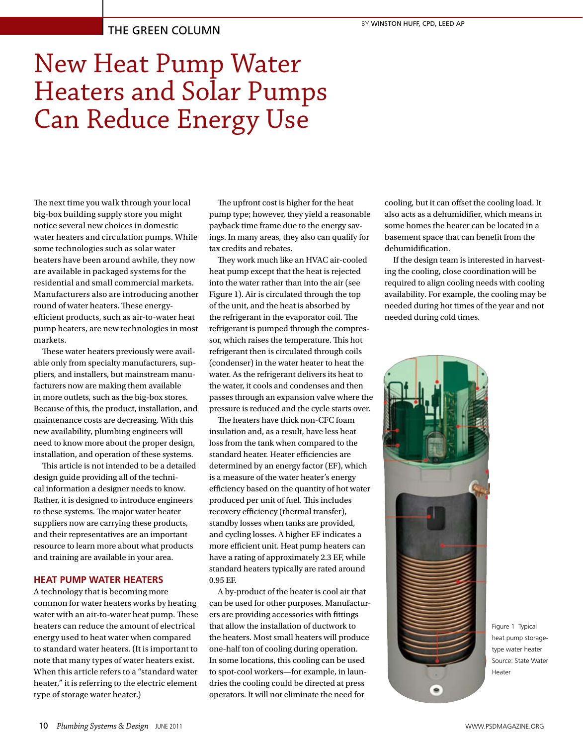## New Heat Pump Water Heaters and Solar Pumps Can Reduce Energy Use

The next time you walk through your local big-box building supply store you might notice several new choices in domestic water heaters and circulation pumps. While some technologies such as solar water heaters have been around awhile, they now are available in packaged systems for the residential and small commercial markets. Manufacturers also are introducing another round of water heaters. These energyefficient products, such as air-to-water heat pump heaters, are new technologies in most markets.

These water heaters previously were available only from specialty manufacturers, suppliers, and installers, but mainstream manufacturers now are making them available in more outlets, such as the big-box stores. Because of this, the product, installation, and maintenance costs are decreasing. With this new availability, plumbing engineers will need to know more about the proper design, installation, and operation of these systems.

This article is not intended to be a detailed design guide providing all of the technical information a designer needs to know. Rather, it is designed to introduce engineers to these systems. The major water heater suppliers now are carrying these products, and their representatives are an important resource to learn more about what products and training are available in your area.

## **HEAT PUMP WATER HEATERS**

A technology that is becoming more common for water heaters works by heating water with an air-to-water heat pump. These heaters can reduce the amount of electrical energy used to heat water when compared to standard water heaters. (It is important to note that many types of water heaters exist. When this article refers to a "standard water heater," it is referring to the electric element type of storage water heater.)

The upfront cost is higher for the heat pump type; however, they yield a reasonable payback time frame due to the energy savings. In many areas, they also can qualify for tax credits and rebates.

They work much like an HVAC air-cooled heat pump except that the heat is rejected into the water rather than into the air (see Figure 1). Air is circulated through the top of the unit, and the heat is absorbed by the refrigerant in the evaporator coil. The refrigerant is pumped through the compressor, which raises the temperature. This hot refrigerant then is circulated through coils (condenser) in the water heater to heat the water. As the refrigerant delivers its heat to the water, it cools and condenses and then passes through an expansion valve where the pressure is reduced and the cycle starts over.

The heaters have thick non-CFC foam insulation and, as a result, have less heat loss from the tank when compared to the standard heater. Heater efficiencies are determined by an energy factor (EF), which is a measure of the water heater's energy efficiency based on the quantity of hot water produced per unit of fuel. This includes recovery efficiency (thermal transfer), standby losses when tanks are provided, and cycling losses. A higher EF indicates a more efficient unit. Heat pump heaters can have a rating of approximately 2.3 EF, while standard heaters typically are rated around 0.95 EF.

A by-product of the heater is cool air that can be used for other purposes. Manufacturers are providing accessories with fittings that allow the installation of ductwork to the heaters. Most small heaters will produce one-half ton of cooling during operation. In some locations, this cooling can be used to spot-cool workers—for example, in laundries the cooling could be directed at press operators. It will not eliminate the need for

cooling, but it can offset the cooling load. It also acts as a dehumidifier, which means in some homes the heater can be located in a basement space that can benefit from the dehumidification.

If the design team is interested in harvesting the cooling, close coordination will be required to align cooling needs with cooling availability. For example, the cooling may be needed during hot times of the year and not needed during cold times.



Figure 1 Typical heat pump storagetype water heater Source: State Water Heater